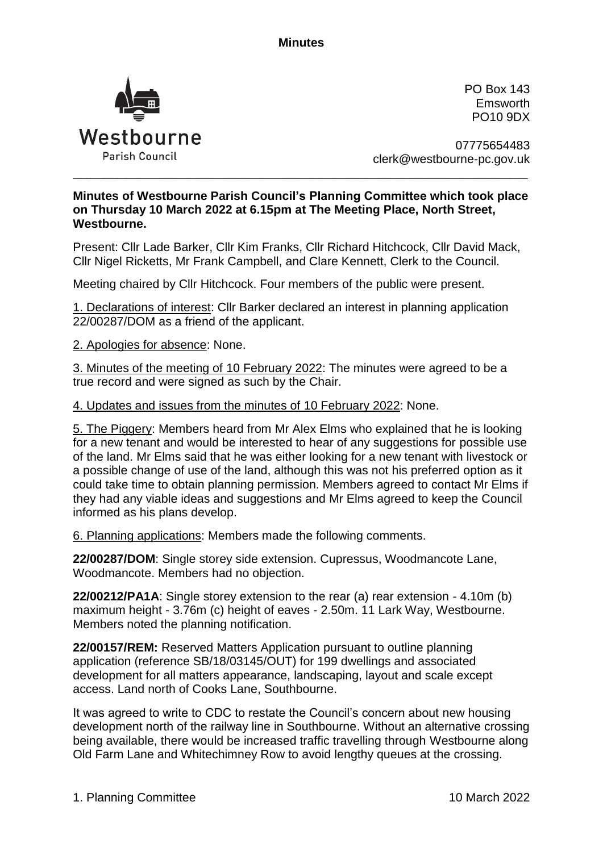**Minutes**



PO Box 143 Emsworth PO10 9DX

07775654483 clerk@westbourne-pc.gov.uk

## **Minutes of Westbourne Parish Council's Planning Committee which took place on Thursday 10 March 2022 at 6.15pm at The Meeting Place, North Street, Westbourne.**

\_\_\_\_\_\_\_\_\_\_\_\_\_\_\_\_\_\_\_\_\_\_\_\_\_\_\_\_\_\_\_\_\_\_\_\_\_\_\_\_\_\_\_\_\_\_\_\_\_\_\_\_\_\_\_\_\_\_\_\_\_\_\_\_\_\_\_\_\_\_\_\_\_\_\_\_\_\_\_\_\_\_\_\_\_\_\_\_\_\_\_\_\_\_\_\_\_\_\_\_\_

Present: Cllr Lade Barker, Cllr Kim Franks, Cllr Richard Hitchcock, Cllr David Mack, Cllr Nigel Ricketts, Mr Frank Campbell, and Clare Kennett, Clerk to the Council.

Meeting chaired by Cllr Hitchcock. Four members of the public were present.

1. Declarations of interest: Cllr Barker declared an interest in planning application 22/00287/DOM as a friend of the applicant.

2. Apologies for absence: None.

3. Minutes of the meeting of 10 February 2022: The minutes were agreed to be a true record and were signed as such by the Chair.

4. Updates and issues from the minutes of 10 February 2022: None.

5. The Piggery: Members heard from Mr Alex Elms who explained that he is looking for a new tenant and would be interested to hear of any suggestions for possible use of the land. Mr Elms said that he was either looking for a new tenant with livestock or a possible change of use of the land, although this was not his preferred option as it could take time to obtain planning permission. Members agreed to contact Mr Elms if they had any viable ideas and suggestions and Mr Elms agreed to keep the Council informed as his plans develop.

6. Planning applications: Members made the following comments.

**22/00287/DOM**: Single storey side extension. Cupressus, Woodmancote Lane, Woodmancote. Members had no objection.

**22/00212/PA1A**: Single storey extension to the rear (a) rear extension - 4.10m (b) maximum height - 3.76m (c) height of eaves - 2.50m. 11 Lark Way, Westbourne. Members noted the planning notification.

**22/00157/REM:** Reserved Matters Application pursuant to outline planning application (reference SB/18/03145/OUT) for 199 dwellings and associated development for all matters appearance, landscaping, layout and scale except access. Land north of Cooks Lane, Southbourne.

It was agreed to write to CDC to restate the Council's concern about new housing development north of the railway line in Southbourne. Without an alternative crossing being available, there would be increased traffic travelling through Westbourne along Old Farm Lane and Whitechimney Row to avoid lengthy queues at the crossing.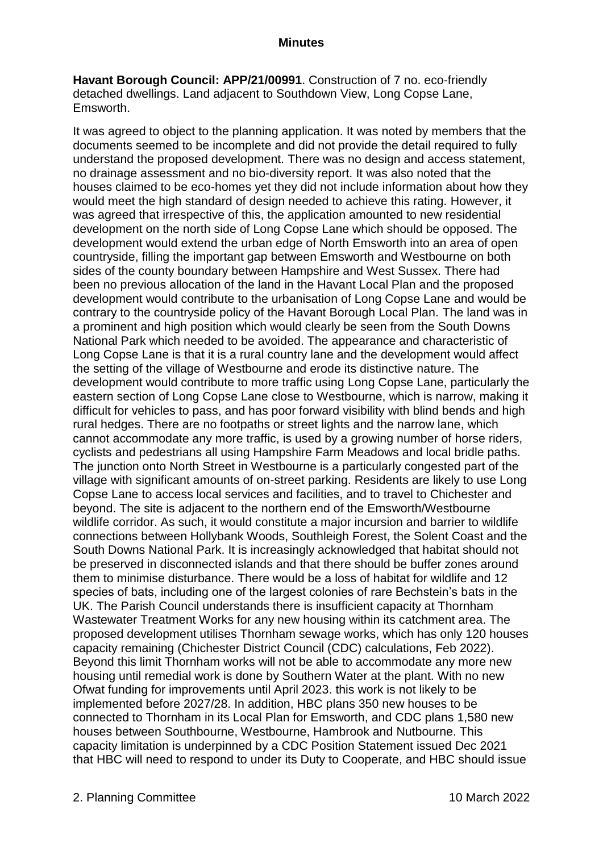**Havant Borough Council: APP/21/00991**. Construction of 7 no. eco-friendly detached dwellings. Land adjacent to Southdown View, Long Copse Lane, Emsworth.

It was agreed to object to the planning application. It was noted by members that the documents seemed to be incomplete and did not provide the detail required to fully understand the proposed development. There was no design and access statement, no drainage assessment and no bio-diversity report. It was also noted that the houses claimed to be eco-homes yet they did not include information about how they would meet the high standard of design needed to achieve this rating. However, it was agreed that irrespective of this, the application amounted to new residential development on the north side of Long Copse Lane which should be opposed. The development would extend the urban edge of North Emsworth into an area of open countryside, filling the important gap between Emsworth and Westbourne on both sides of the county boundary between Hampshire and West Sussex. There had been no previous allocation of the land in the Havant Local Plan and the proposed development would contribute to the urbanisation of Long Copse Lane and would be contrary to the countryside policy of the Havant Borough Local Plan. The land was in a prominent and high position which would clearly be seen from the South Downs National Park which needed to be avoided. The appearance and characteristic of Long Copse Lane is that it is a rural country lane and the development would affect the setting of the village of Westbourne and erode its distinctive nature. The development would contribute to more traffic using Long Copse Lane, particularly the eastern section of Long Copse Lane close to Westbourne, which is narrow, making it difficult for vehicles to pass, and has poor forward visibility with blind bends and high rural hedges. There are no footpaths or street lights and the narrow lane, which cannot accommodate any more traffic, is used by a growing number of horse riders, cyclists and pedestrians all using Hampshire Farm Meadows and local bridle paths. The junction onto North Street in Westbourne is a particularly congested part of the village with significant amounts of on-street parking. Residents are likely to use Long Copse Lane to access local services and facilities, and to travel to Chichester and beyond. The site is adjacent to the northern end of the Emsworth/Westbourne wildlife corridor. As such, it would constitute a major incursion and barrier to wildlife connections between Hollybank Woods, Southleigh Forest, the Solent Coast and the South Downs National Park. It is increasingly acknowledged that habitat should not be preserved in disconnected islands and that there should be buffer zones around them to minimise disturbance. There would be a loss of habitat for wildlife and 12 species of bats, including one of the largest colonies of rare Bechstein's bats in the UK. The Parish Council understands there is insufficient capacity at Thornham Wastewater Treatment Works for any new housing within its catchment area. The proposed development utilises Thornham sewage works, which has only 120 houses capacity remaining (Chichester District Council (CDC) calculations, Feb 2022). Beyond this limit Thornham works will not be able to accommodate any more new housing until remedial work is done by Southern Water at the plant. With no new Ofwat funding for improvements until April 2023. this work is not likely to be implemented before 2027/28. In addition, HBC plans 350 new houses to be connected to Thornham in its Local Plan for Emsworth, and CDC plans 1,580 new houses between Southbourne, Westbourne, Hambrook and Nutbourne. This capacity limitation is underpinned by a CDC Position Statement issued Dec 2021 that HBC will need to respond to under its Duty to Cooperate, and HBC should issue